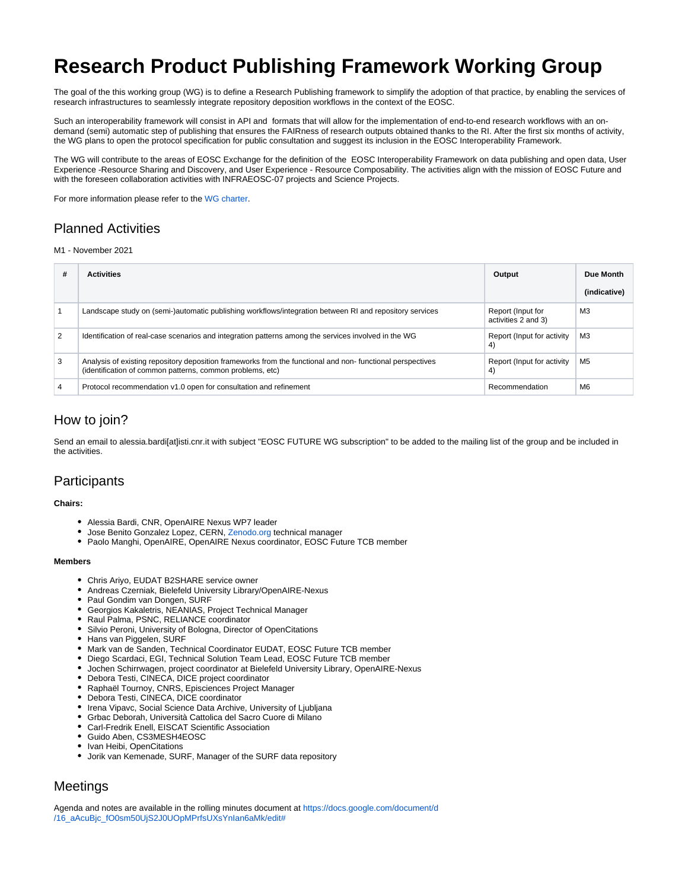# **Research Product Publishing Framework Working Group**

The goal of the this working group (WG) is to define a Research Publishing framework to simplify the adoption of that practice, by enabling the services of research infrastructures to seamlessly integrate repository deposition workflows in the context of the EOSC.

Such an interoperability framework will consist in API and formats that will allow for the implementation of end-to-end research workflows with an ondemand (semi) automatic step of publishing that ensures the FAIRness of research outputs obtained thanks to the RI. After the first six months of activity, the WG plans to open the protocol specification for public consultation and suggest its inclusion in the EOSC Interoperability Framework.

The WG will contribute to the areas of EOSC Exchange for the definition of the EOSC Interoperability Framework on data publishing and open data, User Experience -Resource Sharing and Discovery, and User Experience - Resource Composability. The activities align with the mission of EOSC Future and with the foreseen collaboration activities with INFRAEOSC-07 projects and Science Projects.

For more information please refer to the [WG charter.](https://wiki.eoscfuture.eu/download/attachments/9045406/WP3%20Working%20Group%20-%20Research%20Product%20Publishing%20Framework%20WG.pdf?version=1&modificationDate=1637150607807&api=v2)

## Planned Activities

### M1 - November 2021

| # | <b>Activities</b>                                                                                                                                                      | Output                                   | Due Month<br>(indicative) |
|---|------------------------------------------------------------------------------------------------------------------------------------------------------------------------|------------------------------------------|---------------------------|
|   | Landscape study on (semi-)automatic publishing workflows/integration between RI and repository services                                                                | Report (Input for<br>activities 2 and 3) | MЗ                        |
| 2 | Identification of real-case scenarios and integration patterns among the services involved in the WG                                                                   | Report (Input for activity<br>4)         | MЗ                        |
| 3 | Analysis of existing repository deposition frameworks from the functional and non-functional perspectives<br>(identification of common patterns, common problems, etc) | Report (Input for activity<br>4)         | M <sub>5</sub>            |
| 4 | Protocol recommendation v1.0 open for consultation and refinement                                                                                                      | Recommendation                           | M <sub>6</sub>            |

## How to join?

Send an email to alessia.bardi[at]isti.cnr.it with subject "EOSC FUTURE WG subscription" to be added to the mailing list of the group and be included in the activities.

## **Participants**

#### **Chairs:**

- Alessia Bardi, CNR, OpenAIRE Nexus WP7 leader
- Jose Benito Gonzalez Lopez, CERN, [Zenodo.org](http://Zenodo.org) technical manager
- Paolo Manghi, OpenAIRE, OpenAIRE Nexus coordinator, EOSC Future TCB member

#### **Members**

- Chris Ariyo, EUDAT B2SHARE service owner
- Andreas Czerniak, Bielefeld University Library/OpenAIRE-Nexus
- Paul Gondim van Dongen, SURF
- Georgios Kakaletris, NEANIAS, Project Technical Manager
- Raul Palma, PSNC, RELIANCE coordinator
- Silvio Peroni, University of Bologna, Director of OpenCitations
- Hans van Piggelen, SURF
- Mark van de Sanden, Technical Coordinator EUDAT, EOSC Future TCB member
- Diego Scardaci, EGI, Technical Solution Team Lead, EOSC Future TCB member
- Jochen Schirrwagen, project coordinator at Bielefeld University Library, OpenAIRE-Nexus
- Debora Testi, CINECA, DICE project coordinator
- Raphaël Tournoy, CNRS, Episciences Project Manager
- Debora Testi, CINECA, DICE coordinator
- Irena Vipavc, Social Science Data Archive, University of Ljubljana
- Grbac Deborah, Università Cattolica del Sacro Cuore di Milano
- Carl-Fredrik Enell, EISCAT Scientific Association
- Guido Aben, CS3MESH4EOSC
- Ivan Heibi, OpenCitations
- Jorik van Kemenade, SURF, Manager of the SURF data repository

# **Meetings**

Agenda and notes are available in the rolling minutes document at [https://docs.google.com/document/d](https://docs.google.com/document/d/16_aAcuBjc_fO0sm50UjS2J0UOpMPrfsUXsYnIan6aMk/edit) [/16\\_aAcuBjc\\_fO0sm50UjS2J0UOpMPrfsUXsYnIan6aMk/edit#](https://docs.google.com/document/d/16_aAcuBjc_fO0sm50UjS2J0UOpMPrfsUXsYnIan6aMk/edit)